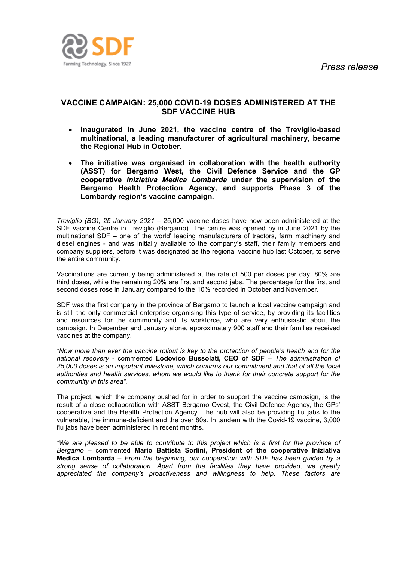

## **VACCINE CAMPAIGN: 25,000 COVID-19 DOSES ADMINISTERED AT THE SDF VACCINE HUB**

- **Inaugurated in June 2021, the vaccine centre of the Treviglio-based multinational, a leading manufacturer of agricultural machinery, became the Regional Hub in October.**
- **The initiative was organised in collaboration with the health authority (ASST) for Bergamo West, the Civil Defence Service and the GP cooperative** *Iniziativa Medica Lombarda* **under the supervision of the Bergamo Health Protection Agency, and supports Phase 3 of the Lombardy region's vaccine campaign.**

*Treviglio (BG), 25 January 2021* – 25,000 vaccine doses have now been administered at the SDF vaccine Centre in Treviglio (Bergamo). The centre was opened by in June 2021 by the multinational SDF – one of the world' leading manufacturers of tractors, farm machinery and diesel engines - and was initially available to the company's staff, their family members and company suppliers, before it was designated as the regional vaccine hub last October, to serve the entire community.

Vaccinations are currently being administered at the rate of 500 per doses per day. 80% are third doses, while the remaining 20% are first and second jabs. The percentage for the first and second doses rose in January compared to the 10% recorded in October and November.

SDF was the first company in the province of Bergamo to launch a local vaccine campaign and is still the only commercial enterprise organising this type of service, by providing its facilities and resources for the community and its workforce, who are very enthusiastic about the campaign. In December and January alone, approximately 900 staff and their families received vaccines at the company.

*"Now more than ever the vaccine rollout is key to the protection of people's health and for the national recovery -* commented **Lodovico Bussolati, CEO of SDF** *– The administration of 25,000 doses is an important milestone, which confirms our commitment and that of all the local authorities and health services, whom we would like to thank for their concrete support for the community in this area".*

The project, which the company pushed for in order to support the vaccine campaign, is the result of a close collaboration with ASST Bergamo Ovest, the Civil Defence Agency, the GPs' cooperative and the Health Protection Agency. The hub will also be providing flu jabs to the vulnerable, the immune-deficient and the over 80s. In tandem with the Covid-19 vaccine, 3,000 flu jabs have been administered in recent months.

*"We are pleased to be able to contribute to this project which is a first for the province of Bergamo* – commented **Mario Battista Sorlini, President of the cooperative Iniziativa Medica Lombarda** – *From the beginning, our cooperation with SDF has been guided by a strong sense of collaboration. Apart from the facilities they have provided, we greatly appreciated the company's proactiveness and willingness to help. These factors are*